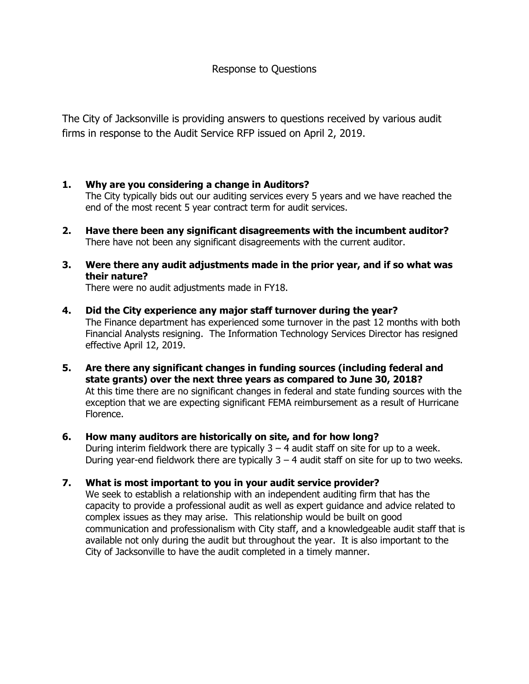The City of Jacksonville is providing answers to questions received by various audit firms in response to the Audit Service RFP issued on April 2, 2019.

## **1. Why are you considering a change in Auditors?**

The City typically bids out our auditing services every 5 years and we have reached the end of the most recent 5 year contract term for audit services.

- **2. Have there been any significant disagreements with the incumbent auditor?** There have not been any significant disagreements with the current auditor.
- **3. Were there any audit adjustments made in the prior year, and if so what was their nature?**

There were no audit adjustments made in FY18.

- **4. Did the City experience any major staff turnover during the year?** The Finance department has experienced some turnover in the past 12 months with both Financial Analysts resigning. The Information Technology Services Director has resigned effective April 12, 2019.
- **5. Are there any significant changes in funding sources (including federal and state grants) over the next three years as compared to June 30, 2018?** At this time there are no significant changes in federal and state funding sources with the exception that we are expecting significant FEMA reimbursement as a result of Hurricane Florence.
- **6. How many auditors are historically on site, and for how long?** During interim fieldwork there are typically  $3 - 4$  audit staff on site for up to a week. During year-end fieldwork there are typically  $3 - 4$  audit staff on site for up to two weeks.
- **7. What is most important to you in your audit service provider?** We seek to establish a relationship with an independent auditing firm that has the capacity to provide a professional audit as well as expert guidance and advice related to complex issues as they may arise. This relationship would be built on good communication and professionalism with City staff, and a knowledgeable audit staff that is available not only during the audit but throughout the year. It is also important to the City of Jacksonville to have the audit completed in a timely manner.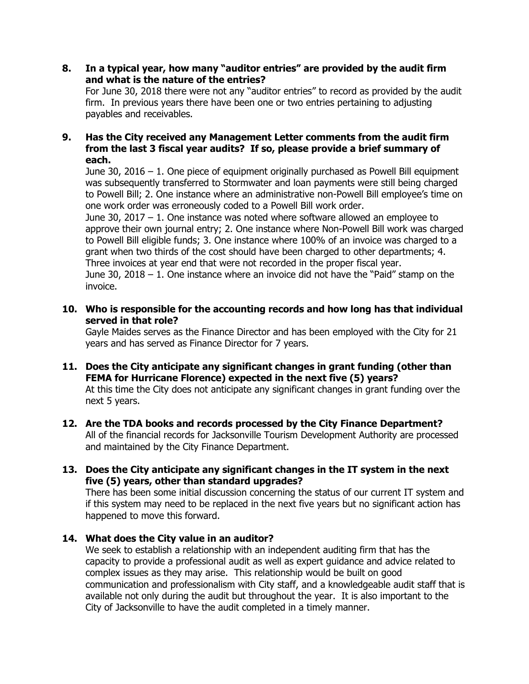**8. In a typical year, how many "auditor entries" are provided by the audit firm and what is the nature of the entries?**

For June 30, 2018 there were not any "auditor entries" to record as provided by the audit firm. In previous years there have been one or two entries pertaining to adjusting payables and receivables.

## **9. Has the City received any Management Letter comments from the audit firm from the last 3 fiscal year audits? If so, please provide a brief summary of each.**

June 30, 2016 – 1. One piece of equipment originally purchased as Powell Bill equipment was subsequently transferred to Stormwater and loan payments were still being charged to Powell Bill; 2. One instance where an administrative non-Powell Bill employee's time on one work order was erroneously coded to a Powell Bill work order.

June 30, 2017 – 1. One instance was noted where software allowed an employee to approve their own journal entry; 2. One instance where Non-Powell Bill work was charged to Powell Bill eligible funds; 3. One instance where 100% of an invoice was charged to a grant when two thirds of the cost should have been charged to other departments; 4. Three invoices at year end that were not recorded in the proper fiscal year. June 30, 2018 – 1. One instance where an invoice did not have the "Paid" stamp on the invoice.

**10. Who is responsible for the accounting records and how long has that individual served in that role?**

Gayle Maides serves as the Finance Director and has been employed with the City for 21 years and has served as Finance Director for 7 years.

- **11. Does the City anticipate any significant changes in grant funding (other than FEMA for Hurricane Florence) expected in the next five (5) years?** At this time the City does not anticipate any significant changes in grant funding over the next 5 years.
- **12. Are the TDA books and records processed by the City Finance Department?** All of the financial records for Jacksonville Tourism Development Authority are processed and maintained by the City Finance Department.
- **13. Does the City anticipate any significant changes in the IT system in the next five (5) years, other than standard upgrades?**

There has been some initial discussion concerning the status of our current IT system and if this system may need to be replaced in the next five years but no significant action has happened to move this forward.

## **14. What does the City value in an auditor?**

We seek to establish a relationship with an independent auditing firm that has the capacity to provide a professional audit as well as expert guidance and advice related to complex issues as they may arise. This relationship would be built on good communication and professionalism with City staff, and a knowledgeable audit staff that is available not only during the audit but throughout the year. It is also important to the City of Jacksonville to have the audit completed in a timely manner.